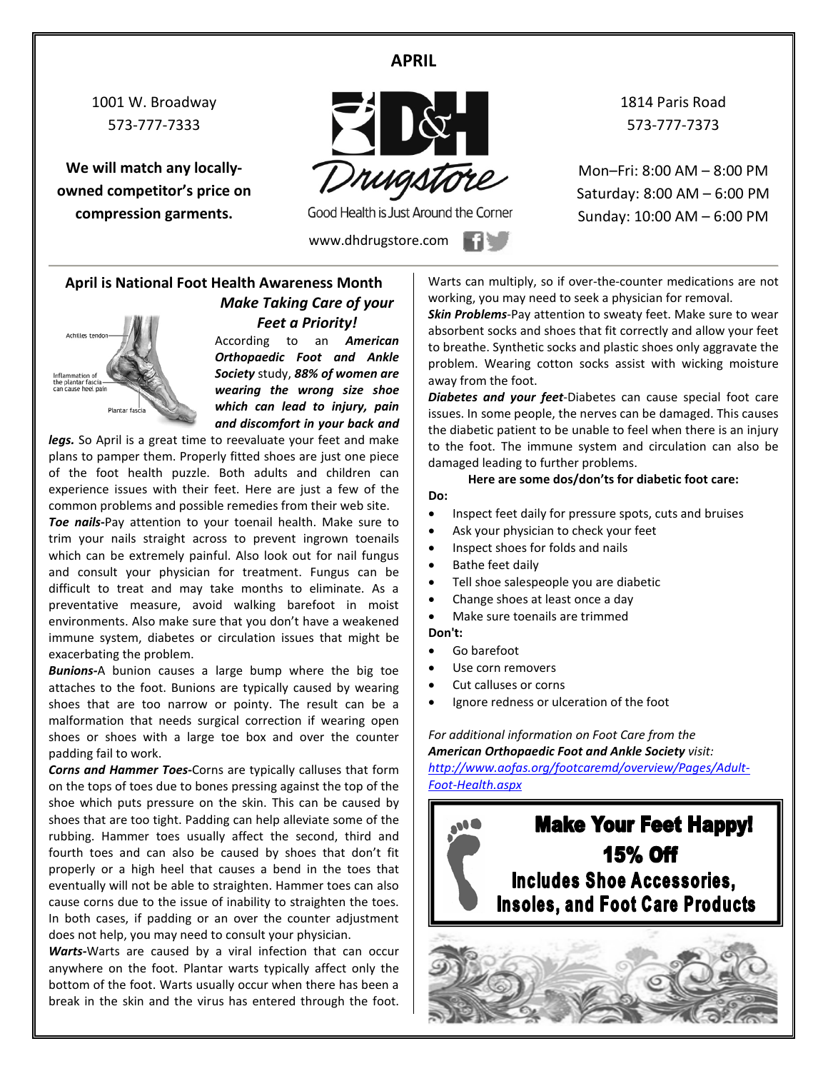# **APRIL**

1001 W. Broadway 573-777-7333

**We will match any locallyowned competitor's price on compression garments.**



Good Health is Just Around the Corner

www.dhdrugstore.com

1814 Paris Road 573-777-7373

Mon–Fri: 8:00 AM – 8:00 PM Saturday: 8:00 AM – 6:00 PM Sunday: 10:00 AM – 6:00 PM

## **April is National Foot Health Awareness Month** *Make Taking Care of your Feet a Priority!*



According to an *American Orthopaedic Foot and Ankle Society* study, *88% of women are wearing the wrong size shoe which can lead to injury, pain and discomfort in your back and* 

legs. So April is a great time to reevaluate your feet and make plans to pamper them. Properly fitted shoes are just one piece of the foot health puzzle. Both adults and children can experience issues with their feet. Here are just a few of the common problems and possible remedies from their web site.

*Toe nails***-**Pay attention to your toenail health. Make sure to trim your nails straight across to prevent ingrown toenails which can be extremely painful. Also look out for nail fungus and consult your physician for treatment. Fungus can be difficult to treat and may take months to eliminate. As a preventative measure, avoid walking barefoot in moist environments. Also make sure that you don't have a weakened immune system, diabetes or circulation issues that might be exacerbating the problem.

*Bunions-*A bunion causes a large bump where the big toe attaches to the foot. Bunions are typically caused by wearing shoes that are too narrow or pointy. The result can be a malformation that needs surgical correction if wearing open shoes or shoes with a large toe box and over the counter padding fail to work.

*Corns and Hammer Toes***-**Corns are typically calluses that form on the tops of toes due to bones pressing against the top of the shoe which puts pressure on the skin. This can be caused by shoes that are too tight. Padding can help alleviate some of the rubbing. Hammer toes usually affect the second, third and fourth toes and can also be caused by shoes that don't fit properly or a high heel that causes a bend in the toes that eventually will not be able to straighten. Hammer toes can also cause corns due to the issue of inability to straighten the toes. In both cases, if padding or an over the counter adjustment does not help, you may need to consult your physician.

*Warts-*Warts are caused by a viral infection that can occur anywhere on the foot. Plantar warts typically affect only the bottom of the foot. Warts usually occur when there has been a break in the skin and the virus has entered through the foot.

Warts can multiply, so if over-the-counter medications are not working, you may need to seek a physician for removal.

*Skin Problems*-Pay attention to sweaty feet. Make sure to wear absorbent socks and shoes that fit correctly and allow your feet to breathe. Synthetic socks and plastic shoes only aggravate the problem. Wearing cotton socks assist with wicking moisture away from the foot.

*Diabetes and your feet*-Diabetes can cause special foot care issues. In some people, the nerves can be damaged. This causes the diabetic patient to be unable to feel when there is an injury to the foot. The immune system and circulation can also be damaged leading to further problems.

**Here are some dos/don'ts for diabetic foot care:**

- Inspect feet daily for pressure spots, cuts and bruises
- Ask your physician to check your feet
- Inspect shoes for folds and nails
- Bathe feet daily
- Tell shoe salespeople you are diabetic
- Change shoes at least once a day
- Make sure toenails are trimmed

**Don't:**

**Do:**

- Go barefoot
- Use corn removers
- Cut calluses or corns
- Ignore redness or ulceration of the foot

#### *For additional information on Foot Care from the American Orthopaedic Foot and Ankle Society visit:*

*[http://www.aofas.org/footcaremd/overview/Pages/Adult-](http://www.aofas.org/footcaremd/overview/Pages/Adult-Foot-Health.aspx)[Foot-Health.aspx](http://www.aofas.org/footcaremd/overview/Pages/Adult-Foot-Health.aspx)*